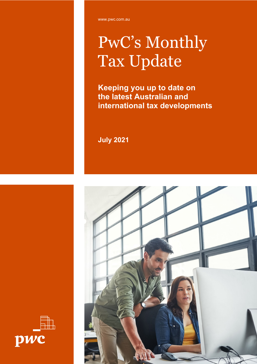# PwC's Monthly Tax Update

**Keeping you up to date on the latest Australian and international tax developments**

**July 2021**



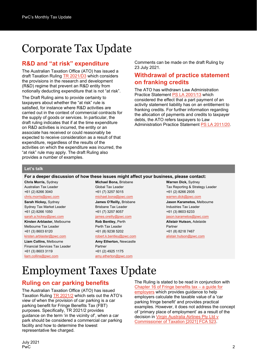## Corporate Tax Update

### **R&D and "at risk" expenditure**

The Australian Taxation Office (ATO) has issued a draft Taxation Ruling [TR 2021/D3](https://www.ato.gov.au/law/view/document?docid=DTR/TR2021D3/NAT/ATO/00001) which considers the provisions in the research and development (R&D) regime that prevent an R&D entity from notionally deducting expenditure that is not "at risk".

The Draft Ruling aims to provide certainty to taxpayers about whether the "at risk" rule is satisfied, for instance where R&D activities are carried out in the context of commercial contracts for the supply of goods or services. In particular, the draft ruling indicates that if at the time expenditure on R&D activities is incurred, the entity or an associate has received or could reasonably be expected to receive consideration as a result of that expenditure, regardless of the results of the activities on which the expenditure was incurred, the "at risk" rule may apply. The draft Ruling also provides a number of examples.

Comments can be made on the draft Ruling by 23 July 2021.

#### **Withdrawal of practice statement on franking credits**

The ATO has withdrawn Law Administration Practice Statement [PS LA 2001/13](https://www.ato.gov.au/law/view/document?DocID=PSR/PS200113/NAT/ATO/00001) which considered the effect that a part payment of an activity statement liability has on an entitlement to franking credits. For further information regarding the allocation of payments and credits to taxpayer debts, the ATO refers taxpayers to Law Administration Practice Statement [PS LA 2011/20.](https://www.ato.gov.au/law/view/document?LocID=%22PSR%2FPS201120%2FNAT%2FATO%22&PiT=99991231235958)

#### **Let's talk**

**For a deeper discussion of how these issues might affect your business, please contact:**

**Chris Morris,** Sydney Australian Tax Leader +61 (2) 8266 3040 [chris.morris@pwc.com](mailto:chris.morris@pwc.com) **Sarah Hickey,** Sydney Sydney Tax Market Leader +61 (2) 8266 1050 [sarah.a.hickey@pwc.com](mailto:sarah.a.hickey@pwc.com) **Kirsten Arblaster,** Melbourne Melbourne Tax Leader +61 (3) 8603 6120 [kirsten.arblaster@pwc.com](mailto:kirsten.arblaster@pwc.com) **Liam Collins,** Melbourne

Financial Services Tax Leader +61 (3) 8603 3119 [liam.collins@pwc.com](mailto:liam.collins@pwc.com)

**Michael Bona,** Brisbane Global Tax Leader +61 (7) 3257 5015 [michael.bona@pwc.com](mailto:michael.bona@pwc.com) **James O'Reilly,** Brisbane Brisbane Tax Leader

#### +61 (7) 3257 8057 [james.oreilly@pwc.com](mailto:james.oreilly@pwc.com)

**Rob Bentley,** Perth Perth Tax Leader +61 (8) 9238 5202

#### [robert.k.bentley@pwc.com](mailto:robert.k.bentley@pwc.com) **Amy Etherton,** Newcastle

Partner +61 (2) 4925 1175 [amy.etherton@pwc.com](mailto:amy.etherton@pwc.com)

#### **Warren Dick,** Sydney Tax Reporting & Strategy Leader +61 (2) 8266 2935

#### [warren.dick@pwc.com](mailto:warren.dick@pwc.com)

**Jason Karametos,** Melbourne Industries Tax Leader +61 (3) 8603 6233

[jason.karametos@pwc.com](mailto:jason.karametos@pwc.com) **Alistair Hutson,** Adelaide

Partner +61 (8) 8218 7467 [alistair.hutson@pwc.com](mailto:alistair.hutson@pwc.com)

## Employment Taxes Update

### **Ruling on car parking benefits**

The Australian Taxation Office (ATO) has issued Taxation Ruling [TR 2021/2](https://www.ato.gov.au/law/view/view.htm?docid=%22TXR%2FTR20212%2FNAT%2FATO%2F00001%22) which sets out the ATO's view of when the provision of car parking is a car parking benefit for Fringe Benefits Tax (FBT) purposes. Specifically, TR 2021/2 provides guidance on the term 'in the vicinity of', when a car park should be considered a commercial car parking facility and how to determine the lowest representative fee charged.

The Ruling is stated to be read in conjunction with [Chapter 16 of Fringe benefits tax](https://www.ato.gov.au/law/view/document?DocID=SAV%2FFBTGEMP%2F00017) – a guide for [employers](https://www.ato.gov.au/law/view/document?DocID=SAV%2FFBTGEMP%2F00017) which provides guidance to help employers calculate the taxable value of a 'car parking fringe benefit' and provides practical examples. However, it does not address the concept of 'primary place of employment' as a result of the decision in [Virgin Australia Airlines Pty Ltd v](http://classic.austlii.edu.au/au/cases/cth/FCA/2021/523.html)  [Commissioner of Taxation \[2021\] FCA 523.](http://classic.austlii.edu.au/au/cases/cth/FCA/2021/523.html)

July 2021 PwC 22 and 22 and 22 and 23 and 23 and 23 and 23 and 23 and 23 and 23 and 23 and 23 and 23 and 23 and 24 and 2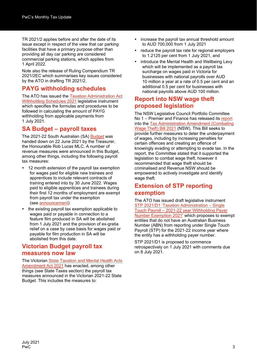TR 2021/2 applies before and after the date of its issue except in respect of the view that car parking facilities that have a primary purpose other than providing all day car parking are considered commercial parking stations, which applies from 1 April 2022.

Note also the release of Ruling Compendium TR 2021/2EC which summarises key issues considered by the ATO in drafting TR 2021/2.

### **PAYG withholding schedules**

The ATO has issued the [Taxation Administration Act](https://www.legislation.gov.au/Details/F2021L00779)  [Withholding Schedules 2021](https://www.legislation.gov.au/Details/F2021L00779) legislative instrument which specifies the formulas and procedures to be followed in calculating the amount of PAYG withholding from applicable payments from 1 July 2021.

### **SA Budget – payroll taxes**

The 2021-22 South Australian (SA) [Budget](https://www.statebudget.sa.gov.au/budget-papers) was handed down on 22 June 2021 by the Treasurer, the Honourable Rob Lucas MLC. A number of revenue measures were announced in this Budget, among other things, including the following payroll tax measures:

- 12 month extension of the payroll tax exemption for wages paid for eligible new trainees and apprentices to include relevant contracts of training entered into by 30 June 2022. Wages paid to eligible apprentices and trainees during their first 12 months of employment are exempt from payroll tax under the exemption (see [announcement\)](https://www.premier.sa.gov.au/news/media-releases/news/budget-apprentice-wage-subsidies-of-up-to-$32,000-on-offer).
- the existing payroll tax exemption applicable to wages paid or payable in connection to a feature film produced in SA will be abolished from 1 July 2021 and the provision of ex-gratia relief on a case by case basis for wages paid or payable for film production in SA will be abolished from this date.

### **Victorian Budget payroll tax measures now law**

The Victoria[n State Taxation and Mental Health Acts](https://www.legislation.vic.gov.au/bills/state-taxation-and-mental-health-acts-amendment-bill-2021)  [Amendment Act 2021](https://www.legislation.vic.gov.au/bills/state-taxation-and-mental-health-acts-amendment-bill-2021) has enacted, among other things (see State Taxes section) the payroll tax measures announced in the Victorian 2021-22 State Budget. This includes the measures to:

- increase the payroll tax annual threshold amount to AUD 700,000 from 1 July 2021
- reduce the payroll tax rate for regional employers to 1.2125 per cent from 1 July 2021, and
- introduce the Mental Health and Wellbeing Levy which will be implemented as a payroll tax surcharge on wages paid in Victoria for businesses with national payrolls over AUD 10 million a year at a rate of 0.5 per cent and an additional 0.5 per cent for businesses with national payrolls above AUD 100 million.

#### **Report into NSW wage theft proposed legislation**

The NSW Legislative Council Portfolio Committee No 1 – Premier and Finance has released its [report](https://www.parliament.nsw.gov.au/committees/inquiries/Pages/inquiry-details.aspx?pk=2813#tab-reportsandgovernmentresponses) into the Tax [Administration Amendment \(Combating](https://www.parliament.nsw.gov.au/bills/Pages/bill-details.aspx?pk=3857)  [Wage Theft\) Bill 2021](https://www.parliament.nsw.gov.au/bills/Pages/bill-details.aspx?pk=3857) (NSW). This Bill seeks to provide further measures to deter the underpayment of wages, including by increasing penalties for certain offences and creating an offence of knowingly evading or attempting to evade tax. In the report, the Committee stated that it supported the legislation to combat wage theft, however it recommended that wage theft should be criminalised and Revenue NSW should be empowered to actively investigate and identify wage theft.

#### **Extension of STP reporting exemption**

The ATO has issued draft legislative instrument STP [2021/D1 'Taxation Administration](https://www.ato.gov.au/law/view/view.htm?docid=%22OPS%2FSTP2021D1%2F00001%22) – Single Touch Payroll – 2021-22 year [Withholding Payer](https://www.ato.gov.au/law/view/view.htm?docid=%22OPS%2FSTP2021D1%2F00001%22)  [Number Exemption 2021'](https://www.ato.gov.au/law/view/view.htm?docid=%22OPS%2FSTP2021D1%2F00001%22) which proposes to exempt entities that do not have an Australian Business Number (ABN) from reporting under Single Touch Payroll (STP) for the 2021-22 income year where the entity has a withholding payer number.

STP 2021/D1 is proposed to commence retrospectively on 1 July 2021 with comments due on 8 July 2021.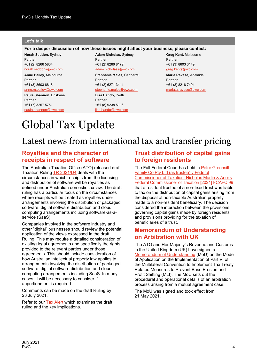#### **Let's talk**

#### **For a deeper discussion of how these issues might affect your business, please contact:**

**Norah Seddon,** Sydney Partner +61 (2) 8266 5864 [norah.seddon@pwc.com](mailto:norah.seddon@pwc.com)

**Anne Bailey,** Melbourne Partner +61 (3) 8603 6818

[anne.m.bailey@pwc.com](mailto:anne.m.bailey@pwc.com) **Paula Shannon,** Brisbane Partner +61 (7) 3257 5751 [paula.shannon@pwc.com](mailto:paula.shannon@pwc.com)

**Adam Nicholas,** Sydney Partner +61 (2) 8266 8172 [adam.nicholas@pwc.com](mailto:adam.nicholas@pwc.com) **Stephanie Males,** Canberra Partner +61 (2) 6271 3414 [stephanie.males@pwc.com](mailto:stephanie.males@pwc.com) **Lisa Hando,** Perth Partner +61 (8) 9238 5116

[lisa.hando@pwc.com](mailto:lisa.hando@pwc.com)

**Greg Kent,** Melbourne Partner +61 (3) 8603 3149 [greg.kent@pwc.com](mailto:greg.kent@pwc.com)

**Maria Ravese,** Adelaide Partner +61 (8) 8218 7494 [maria.a.ravese@pwc.com](mailto:maria.a.ravese@pwc.com)

## Global Tax Update

## Latest news from international tax and transfer pricing

#### **Royalties and the character of receipts in respect of software**

The Australian Taxation Office (ATO) released draft Taxation Ruling TR [2021/D4](http://ato.gov.au/law/view/document?DocID=DTR/TR2021D4/NAT/ATO/00001) deals with the circumstances in which receipts from the licensing and distribution of software will be royalties as defined under Australian domestic tax law. The draft ruling has a particular focus on the circumstances where receipts will be treated as royalties under arrangements involving the distribution of packaged software, digital software distribution and cloud computing arrangements including software-as-aservice (SaaS).

Companies involved in the software industry and other "digital" businesses should review the potential application of the views expressed in the draft Ruling. This may require a detailed consideration of existing legal agreements and specifically the rights provided to the relevant parties under those agreements. This should include consideration of how Australian intellectual property law applies to arrangements involving the distribution of packaged software, digital software distribution and cloud computing arrangements including SaaS. In many cases, it will be necessary to consider if apportionment is required.

Comments can be made on the draft Ruling by 23 July 2021.

Refer to our [Tax Alert](https://www.pwc.com.au/tax-alerts/ato-considers-certain-payments-for-software-distribution-rights-are-royalties.html) which examines the draft ruling and the key implications.

### **Trust distribution of capital gains to foreign residents**

The Full Federal Court has held in [Peter Greensill](http://www8.austlii.edu.au/cgi-bin/viewdoc/au/cases/cth/FCAFC/2021/99.html)  [Family Co Pty Ltd \(as trustee\) v Federal](http://www8.austlii.edu.au/cgi-bin/viewdoc/au/cases/cth/FCAFC/2021/99.html)  [Commissioner of Taxation; Nicholas Martin & Anor v](http://www8.austlii.edu.au/cgi-bin/viewdoc/au/cases/cth/FCAFC/2021/99.html)  [Federal Commissioner](http://www8.austlii.edu.au/cgi-bin/viewdoc/au/cases/cth/FCAFC/2021/99.html) of Taxation [\[2021\] FCAFC 99](http://www8.austlii.edu.au/cgi-bin/viewdoc/au/cases/cth/FCAFC/2021/99.html) that a resident trustee of a non-fixed trust was liable to tax on the distribution of capital gains arising from the disposal of non-taxable Australian property made to a non-resident beneficiary. The decision considered the interaction between the provisions governing capital gains made by foreign residents and provisions providing for the taxation of beneficiaries of a trust.

#### **Memorandum of Understanding on Arbitration with UK**

The ATO and Her Majesty's Revenue and Customs in the United Kingdom (UK) have signed a [Memorandum of Understanding](https://www.ato.gov.au/law/view/view.htm?docid=%22MOU%2FUK%22) (MoU) on the Mode of Application on the Implementation of Part VI of the Multilateral Convention to Implement Tax Treaty Related Measures to Prevent Base Erosion and Profit Shifting (MLI). The MoU sets out the procedural and operational details of an arbitration process arising from a mutual agreement case.

The MoU was signed and took effect from 21 May 2021.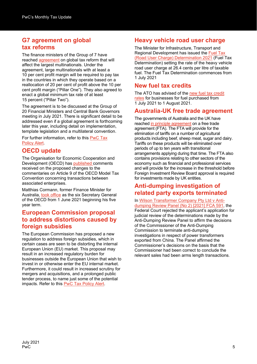## **G7 agreement on global tax reforms**

The finance ministers of the Group of 7 have reached [agreement](https://www.gov.uk/government/publications/g7-finance-ministers-meeting-june-2021-communique/g7-finance-ministers-and-central-bank-governors-communique) on global tax reform that will affect the largest multinationals. Under the agreement, large multinationals with at least a 10 per cent profit margin will be required to pay tax in the countries in which they operate based on a reallocation of 20 per cent of profit above the 10 per cent profit margin ("Pillar One"). They also agreed to enact a global minimum tax rate of at least 15 percent ("Pillar Two").

The agreement is to be discussed at the Group of 20 Financial Ministers and Central Bank Governors meeting in July 2021. There is significant detail to be addressed even if a global agreement is forthcoming later this year, including detail on implementation, template legislation and a multilateral convention.

For further information, refer to this [PwC Tax](https://www.pwc.com/gx/en/tax/newsletters/tax-policy-bulletin/assets/pwc-g7-commit-to-pillars-including-min-tax-rate-of-at-least-15.pdf?WT.mc_id=CT2-PL200-DM2-TR2-LS1-ND30-TTA9-CN_TX-KM-NL-6FY21-TPA-G7-emaillink)  [Policy](https://www.pwc.com/gx/en/tax/newsletters/tax-policy-bulletin/assets/pwc-g7-commit-to-pillars-including-min-tax-rate-of-at-least-15.pdf?WT.mc_id=CT2-PL200-DM2-TR2-LS1-ND30-TTA9-CN_TX-KM-NL-6FY21-TPA-G7-emaillink) Alert.

## **OECD update**

The Organisation for Economic Cooperation and Development (OECD) has [published c](https://www.oecd.org/tax/treaties/public-comments-received-on-proposed-changes-to-commentaries-in-the-oecd-model-tax-convention-on-article-9-and-on-related-articles.htm?utm_source=Adestra&utm_medium=email&utm_content=Read%20more&utm_campaign=Tax%20News%20Alert%2010-06-2021&utm_term=ctp)omments received on the proposed changes to the commentaries on Article 9 of the OECD Model Tax Convention concerning transactions between associated enterprises.

Matthias Cormann, former Finance Minister for Australia, [took office](https://www.oecd.org/newsroom/mathias-cormann-takes-office-as-oecd-secretary-general.htm?utm_source=Adestra&utm_medium=email&utm_content=Read%20the%20press%20release&utm_campaign=Tax%20News%20Alert%2010-06-2021&utm_term=ctp) as the six Secretary General of the OECD from 1 June 2021 beginning his five year term.

#### **European Commission proposal to address distortions caused by foreign subsidies**

The European Commission has proposed a new regulation to address foreign subsidies, which in certain cases are seen to be distorting the internal European Union (EU) market. This proposal may result in an increased regulatory burden for businesses outside the European Union that wish to invest in or otherwise enter the EU internal market. Furthermore, it could result in increased scrutiny for mergers and acquisitions, and a prolonged public tender process, to name just some of the potential impacts. Refer to this [PwC Tax Policy Alert.](https://www.pwc.com/gx/en/tax/newsletters/tax-policy-bulletin/assets/pwc-ec-proposal-to-address-distortions-caused-by-foreign-subsidies.pdf?WT.mc_id=CT2-PL200-DM2-TR2-LS1-ND30-TTA9-CN_TX-KM-NL-6FY21-TPA-ECdistortions-emaillink)

## **Heavy vehicle road user charge**

The Minister for Infrastructure, Transport and Regional Development has issued the [Fuel Tax](https://www.legislation.gov.au/Details/F2021L00689)  [\(Road User Charge\) Determination 2021](https://www.legislation.gov.au/Details/F2021L00689) (Fuel Tax Determination) setting the rate of the heavy vehicle road user charge at 26.4 cents per litre of taxable fuel. The Fuel Tax Determination commences from 1 July 2021

## **New fuel tax credits**

The ATO has advised of the [new fuel tax credit](https://www.ato.gov.au/Business/Fuel-schemes/Fuel-tax-credits---business/Rates---business/From-1-July-2021/)  [rates](https://www.ato.gov.au/Business/Fuel-schemes/Fuel-tax-credits---business/Rates---business/From-1-July-2021/) for businesses for fuel purchased from 1 July 2021 to 1 August 2021.

## **Australia-UK free trade agreement**

The governments of Australia and the UK have reached [in principle agreement](https://www.trademinister.gov.au/minister/dan-tehan/media-release/australia-uk-fta-agreement-principle) on a free trade agreement (FTA). The FTA will provide for the elimination of tariffs on a number of agricultural products including beef, sheep meat, sugar and dairy. Tariffs on these products will be eliminated over periods of up to ten years with transitional arrangements applying during that time. The FTA also contains provisions relating to other sectors of the economy such as financial and professional services and will provide for the increase in the threshold before Foreign Investment Review Board approval is required for investments made by UK entities.

## **Anti-dumping investigation of related party exports terminated**

In [Wilson Transformer Company Pty Ltd](http://www.austlii.edu.au/cgi-bin/viewdoc/au/cases/cth/FCA/2021/591.html?context=1;query=%22Wilson%20Transformer%20Company%22;mask_path=) [v Anti](http://www.austlii.edu.au/cgi-bin/viewdoc/au/cases/cth/FCA/2021/591.html?context=1;query=%22Wilson%20Transformer%20Company%22;mask_path=)[dumping Review Panel \(No 2\)](http://www.austlii.edu.au/cgi-bin/viewdoc/au/cases/cth/FCA/2021/591.html?context=1;query=%22Wilson%20Transformer%20Company%22;mask_path=) [\[2021\] FCA](http://www.austlii.edu.au/cgi-bin/viewdoc/au/cases/cth/FCA/2021/591.html?context=1;query=%22Wilson%20Transformer%20Company%22;mask_path=) 591, the Federal Court rejected the applicant's application for judicial review of the determinations made by the Anti-Dumping Review Panel to affirm the decisions of the Commissioner of the Anti-Dumping Commission to terminate anti-dumping investigations in respect of power transformers exported from China. The Panel affirmed the Commissioner's decisions on the basis that the Commissioner had been correct to conclude the relevant sales had been arms length transactions.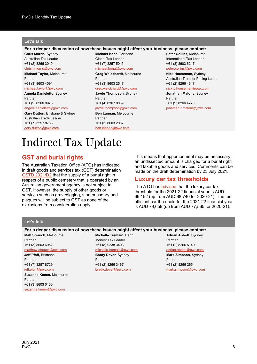#### **Let's talk**

#### **For a deeper discussion of how these issues might affect your business, please contact:**

**Chris Morris,** Sydney Australian Tax Leader +61 (2) 8266 3040 [chris.j.morris@pwc.com](mailto:chris.j.morris@pwc.com) **Michael Taylor,** Melbourne

Partner +61 (3) 8603 4091 [michael.taylor@pwc.com](mailto:michael.taylor@pwc.com)

**Angela Danieletto,** Sydney Partner +61 (2) 8266 0973

[angela.danieletto@pwc.com](mailto:angela.danieletto@pwc.com) **Gary Dutton,** Brisbane & Sydney

Australian Trade Leader +61 (7) 3257 8783 [gary.dutton@pwc.com](mailto:gary.dutton@pwc.com)

**Michael Bona,** Brisbane Global Tax Leader +61 (7) 3257 5015 [michael.bona@pwc.com](mailto:michael.bona@pwc.com)

**Greg Weickhardt,** Melbourne Partner +61 (3) 8603 2547 [greg.weickhardt@pwc.com](mailto:greg.weickhardt@pwc.com) **Jayde Thompson,** Sydney Partner +61 (4) 0367 8059 [jayde.thompson@pwc.com](mailto:jayde.thompson@pwc.com) **Ben Lannan,** Melbourne Partner +61 (3) 8603 2067 [ben.lannan@pwc.com](mailto:ben.lannan@pwc.com)

**Peter Collins,** Melbourne International Tax Leader +61 (3) 8603 6247 [peter.collins@pwc.com](mailto:peter.collins@pwc.com)

**Nick Houseman,** Sydney Australian Transfer Pricing Leader +61 (2) 8266 4647 [nick.p.houseman@pwc.com](mailto:nick.p.houseman@pwc.com)

**Jonathan Malone,** Sydney Partner +61 (2) 8266 4770 [jonathan.r.malone@pwc.com](mailto:jonathan.r.malone@pwc.com)

## Indirect Tax Update

## **GST and burial rights**

The Australian Taxation Office (ATO) has indicated in draft goods and services tax (GST) determination [GSTD 2021/D2](https://www.ato.gov.au/law/view/document?DocID=DGD/GSTD2021D2/NAT/ATO/00001) that the supply of a burial right in respect of a public cemetery that is operated by an Australian government agency is not subject to GST. However, the supply of other goods or services such as gravedigging, stonemasonry and plaques will be subject to GST as none of the exclusions from consideration apply.

This means that apportionment may be necessary if an undissected amount is charged for a burial right and taxable goods and services. Comments can be made on the draft determination by 23 July 2021.

#### **Luxury car tax thresholds**

The ATO has [advised](https://www.ato.gov.au/rates/luxury-car-tax-rate-and-thresholds/) that the luxury car tax threshold for the 2021-22 financial year is AUD 69,152 (up from AUD 68,740 for 2020-21). The fuel efficient car threshold for the 2021-22 financial year is AUD 79,659 (up from AUD 77,565 for 2020-21).

#### **Let's talk**

#### **For a deeper discussion of how these issues might affect your business, please contact:**

**Matt Strauch,** Melbourne Partner +61 (3) 8603 6952 [matthew.strauch@pwc.com](mailto:matthew.strauch@pwc.com) **Jeff Pfaff,** Brisbane Partner

+61 (7) 3257 8729 ieff.pfaff@pwc.com

**Suzanne Kneen,** Melbourne Partner +61 (3) 8603 0165 [suzanne.kneen@pwc.com](mailto:suzanne.kneen@pwc.com)

**Michelle Tremain,** Perth Indirect Tax Leader +61 (8) 9238 3403

[michelle.tremain@pwc.com](mailto:michelle.tremain@pwc.com) **Brady Dever,** Sydney Partner +61 (2) 8266 3467 [brady.dever@pwc.com](mailto:brady.dever@pwc.com)

**Adrian Abbott,** Sydney Partner +61 (2) 8266 5140 [adrian.abbott@pwc.com](mailto:adrian.abbott@pwc.com) **Mark Simpson,** Sydney Partner +61 (2) 8266 2654 [mark.simpson@pwc.com](mailto:mark.simpson@pwc.com)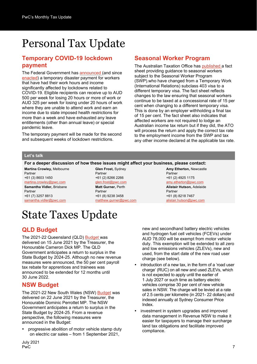## Personal Tax Update

#### **Temporary COVID-19 lockdown payment**

The Federal Government has [announced \(](https://ministers.treasury.gov.au/ministers/josh-frydenberg-2018/media-releases/temporary-australian-government-assistance-workers)and since [enacted\)](https://parlinfo.aph.gov.au/parlInfo/search/display/display.w3p;query=Id%3A%22legislation%2Fbillhome%2Fr6728%22) a temporary disaster payment for workers that have had their work hours and income significantly affected by lockdowns related to COVID-19. Eligible recipients can receive up to AUD 500 per week for losing 20 hours or more of work or AUD 325 per week for losing under 20 hours of work where they are unable to attend work and earn an income due to state imposed health restrictions for more than a week and have exhausted any leave entitlements (other than annual leave) or special pandemic leave.

The temporary payment will be made for the second and subsequent weeks of lockdown restrictions.

## **Seasonal Worker Program**

The Australian Taxation Office has [published a](https://www.ato.gov.au/law/view/view.htm?docid=%22afs%2Fswp%2F00001%22) fact sheet providing guidance to seasonal workers subject to the Seasonal Worker Program (SWP).who have changed from a Temporary Work (International Relations) subclass 403 visa to a different temporary visa. The fact sheet reflects changes to the law ensuring that seasonal workers continue to be taxed at a concessional rate of 15 per cent when changing to a different temporary visa. This is done by an employer withholding a final tax of 15 per cent. The fact sheet also indicates that affected workers are not required to lodge an Australian income tax return but if they did, the ATO will process the return and apply the correct tax rate to the employment income from the SWP and tax any other income declared at the applicable tax rate.

#### **Let's talk**

#### **For a deeper discussion of how these issues might affect your business, please contact:**

**Martina Crowley,** Melbourne Partner +61 (3) 8603 1450 [martina.crowley@pwc.com](mailto:martina.crowley@pwc.com) **Samantha Vidler,** Brisbane Partner +61 (7) 3257 8813 [samantha.vidler@pwc.com](mailto:samantha.vidler@pwc.com)

**Glen Frost,** Sydney Partner +61 (2) 8266 2266 [glen.frost@pwc.com](mailto:glen.frost@pwc.com) **Matt Gurner,** Perth Partner +61 (8) 9238 3458 [matthew.gurner@pwc.com](mailto:matthew.gurner@pwc.com) **Amy Etherton,** Newcastle Partner +61 (2) 4925 1175

[amy.etherton@pwc.com](mailto:amy.etherton@pwc.com)

**Alistair Hutson,** Adelaide Partner +61 (8) 8218 7467 [alistair.hutson@pwc.com](mailto:alistair.hutson@pwc.com)

## State Taxes Update

## **QLD Budget**

The 2021-22 Queensland (QLD) [Budget w](https://budget.qld.gov.au/budget-papers/)as delivered on 15 June 2021 by the Treasurer, the Honourable Cameron Dick MP. The QLD Government anticipates a return to surplus in the State Budget by 2024-25. Although no new revenue measures were announced, the 50 per cent payroll tax rebate for apprentices and trainees was announced to be extended for 12 months until 30 June 2022.

#### **NSW Budget**

The 2021-22 New South Wales (NSW) [Budget](https://www.budget.nsw.gov.au/budget-papers) was delivered on 22 June 2021 by the Treasurer, the Honourable Dominic Perrottet MP. The NSW Government anticipates a return to surplus in the State Budget by 2024-25. From a revenue perspective, the following measures were announced in the Budget:

 progressive abolition of motor vehicle stamp duty on electric car sales – from 1 September 2021,

new and secondhand battery electric vehicles and hydrogen fuel cell vehicles (FCEVs) under AUD 78,000 will be exempt from motor vehicle duty. This exemption will be extended to all zero and low emissions vehicles (ZLEVs), new and used, from the start date of the new road user charge (see below).

- introduction of a new tax, in the form of a 'road user charge' (RUC) on all new and used ZLEVs, which is not expected to apply until the earlier of 1 July 2027 or such time as battery electric vehicles comprise 30 per cent of new vehicle sales in NSW. The charge will be levied at a rate of 2.5 cents per kilometre (in 2021- 22 dollars) and indexed annually at Sydney Consumer Price Index.
- investment in system upgrades and improved data management in Revenue NSW to make it easier for taxpayers to manage their surcharge land tax obligations and facilitate improved compliance.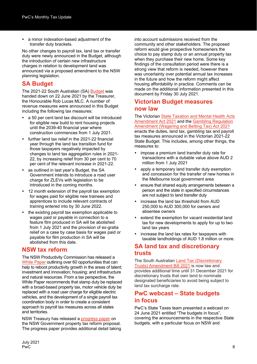a minor indexation-based adjustment of the transfer duty brackets.

No other changes to payroll tax, land tax or transfer duty were newly announced in the Budget, although the introduction of certain new infrastructure charges in relation to development land was announced via a proposed amendment to the NSW planning legislation.

## **SA Budget**

The 2021-22 South Australian (SA) [Budget](https://www.statebudget.sa.gov.au/budget-papers) was handed down on 22 June 2021 by the Treasurer, the Honourable Rob Lucas MLC. A number of revenue measures were announced in this Budget including the following tax measures:

- a 50 per cent land tax discount will be introduced for eligible new build to rent housing projects until the 2039-40 financial year where construction commences from 1 July 2021.
- further land tax relief in the 2021-22 financial year through the land tax transition fund for those taxpayers negatively impacted by changes to land tax aggregation rules in 2021- 22, by increasing relief from 30 per cent to 70 per cent of the relevant increase in 2021-22.
- as outlined in last year's Budget, the SA Government intends to introduce a road user charge for ZLEVs with legislation to be introduced in the coming months.
- 12 month extension of the payroll tax exemption for wages paid for eligible new trainees and apprentices to include relevant contracts of training entered into by 30 June 2022.
- the existing payroll tax exemption applicable to wages paid or payable in connection to a feature film produced in SA will be abolished from 1 July 2021 and the provision of ex-gratia relief on a case by case basis for wages paid or payable for film production in SA will be abolished from this date.

### **NSW tax reform**

The NSW Productivity Commission has released a [White Paper](https://www.productivity.nsw.gov.au/white-paper) outlining over 60 opportunities that can help to reboot productivity growth in the areas of talent; investment and innovation; housing; and infrastructure and natural resources. From a tax perspective, the White Paper recommends that stamp duty be replaced with a broad-based property tax, motor vehicle duty be replaced with a road user charge for eligible electric vehicles, and the development of a single payroll tax coordination body in order to create a consistent approach to payroll tax measures across all states and territories.

NSW Treasury has released a [progress paper](https://www.nsw.gov.au/sites/default/files/2021-06/property-tax-progress-paper-june-2021.pdf) on the NSW Government property tax reform proposal. The progress paper provides additional detail taking into account submissions received from the community and other stakeholders. The proposed reform would give prospective homeowners the choice to pay stamp duty or an annual property tax when they purchase their new home. Some key findings of the consultation period were there is a strong view that reform is needed, however there was uncertainty over potential annual tax increases in the future and how the reform might affect housing affordability in practice. Comments can be made on the additional information presented in this document by Friday 30 July 2021.

### **Victorian Budget measures now law**

The Victorian [State Taxation and Mental Health Acts](https://www.legislation.vic.gov.au/bills/state-taxation-and-mental-health-acts-amendment-bill-2021)  [Amendment Act 2021](https://www.legislation.vic.gov.au/bills/state-taxation-and-mental-health-acts-amendment-bill-2021) and the [Gambling Regulation](https://www.legislation.vic.gov.au/bills/gambling-regulation-amendment-wagering-and-betting-tax-bill-2021)  [Amendment \(Wagering and Betting Tax\) Act 2021](https://www.legislation.vic.gov.au/bills/gambling-regulation-amendment-wagering-and-betting-tax-bill-2021) enacts the duties, land tax, gambling tax and payroll tax measures announced in the Victorian 2021-22 State Budget. This includes, among other things, the measures to:

- impose a premium land transfer duty rate for transactions with a dutiable value above AUD 2 million from 1 July 2021
- apply a temporary land transfer duty exemption and concession for the transfer of new homes in the Melbourne local government area
- ensure that shared equity arrangements between a person and the state in specified circumstances are not subject to land transfer duty
- increase the land tax threshold from AUD 250,000 to AUD 300,000 for owners and absentee owners
- extend the exemption for vacant residential land tax for new developments to apply for up to two land tax years
- increase the land tax rates for taxpayers with taxable landholdings of AUD 1.8 million or more.

## **SA land tax and discretionary trusts**

The South Australian [Land Tax \(Discretionary](https://www.legislation.sa.gov.au/LZ/B/CURRENT/LAND%20TAX%20(DISCRETIONARY%20TRUSTS)%20AMENDMENT%20BILL%202021.aspx)  [Trusts\) Amendment Bill 2021](https://www.legislation.sa.gov.au/LZ/B/CURRENT/LAND%20TAX%20(DISCRETIONARY%20TRUSTS)%20AMENDMENT%20BILL%202021.aspx) is now law and provides additional time until 31 December 2021 for discretionary trusts that own land to nominate designated beneficiaries to avoid being subject to land tax surcharge rate.

### **PwC webcast – State budgets in focus**

PwC's State Taxes team presented a webcast on 24 June 2021 entitled "The budgets in focus", covering the announcements in the respective State budgets, with a particular focus on NSW and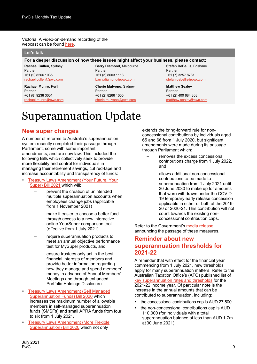#### Victoria. A video-on-demand recording of the webcast can be found [here](https://event.webcasts.com/starthere.jsp?ei=1472804&tp_key=4894a9d5d8)*.*

#### **Let's talk**

#### **For a deeper discussion of how these issues might affect your business, please contact:**

**Rachael Cullen**, Sydney Partner +61 (2) 8266 1035 [rachael.cullen@pwc.com](mailto:rachael.cullen@pwc.com)

**Rachael Munro**, Perth Partner +61 (8) 9238 3001 [rachael.munro@pwc.com](mailto:rachael.munro@pwc.com) **Barry Diamond**, Melbourne Partner +61 (3) 8603 1118 [barry.diamond@pwc.com](mailto:barry.diamond@pwc.com)

**Cherie Mulyono**, Sydney Partner +61 (2) 8266 1055 [cherie.mulyono@pwc.com](mailto:cherie.mulyono@pwc.com) **Stefan DeBellis**, Brisbane Partner +61 (7) 3257 8781 [stefan.debellis@pwc.com](mailto:stefan.debellis@pwc.com)

**Matthew Sealey** Partner +61 (2) 400 684 803 [matthew.sealey@pwc.com](mailto:matthew.sealey@pwc.com)

## Superannuation Update

#### **New super changes**

A number of reforms to Australia's superannuation system recently completed their passage through Parliament, some with some important amendments, and are now law. This included the following Bills which collectively seek to provide more flexibility and control for individuals in managing their retirement savings, cut red-tape and increase accountability and transparency of funds:

- [Treasury Laws Amendment \(Your Future, Your](https://parlinfo.aph.gov.au/parlInfo/search/display/display.w3p;query=Id%3A%22legislation%2Fbillhome%2Fr6672%22)  [Super\) Bill 2021](https://parlinfo.aph.gov.au/parlInfo/search/display/display.w3p;query=Id%3A%22legislation%2Fbillhome%2Fr6672%22) which will:
	- prevent the creation of unintended multiple superannuation accounts when employees change jobs (applicable from 1 November 2021)
	- make it easier to choose a better fund through access to a new interactive online YourSuper comparison tool (effective from 1 July 2021)
	- require superannuation products to meet an annual objective performance test for MySuper products, and
	- ensure trustees only act in the best financial interests of members and provide better information regarding how they manage and spend members' money in advance of Annual Members' Meetings and through enhanced Portfolio Holdings Disclosure.
- [Treasury Laws Amendment \(Self Managed](https://parlinfo.aph.gov.au/parlInfo/search/display/display.w3p;query=Id%3A%22legislation%2Fbillhome%2Fs1269%22)  [Superannuation Funds\) Bill 2020](https://parlinfo.aph.gov.au/parlInfo/search/display/display.w3p;query=Id%3A%22legislation%2Fbillhome%2Fs1269%22) which increases the maximum number of allowable members in self-managed superannuation funds (SMSFs) and small APRA funds from four to six from 1 July 2021.
- [Treasury Laws Amendment \(More Flexible](https://parlinfo.aph.gov.au/parlInfo/search/display/display.w3p;query=Id%3A%22legislation%2Fbillhome%2Fr6538%22)  [Superannuation\) Bill 2020](https://parlinfo.aph.gov.au/parlInfo/search/display/display.w3p;query=Id%3A%22legislation%2Fbillhome%2Fr6538%22) which not only

extends the bring‑forward rule for nonconcessional contributions by individuals aged 65 and 66 from 1 July 2020, but significant amendments were made during its passage through Parliament which:

- removes the excess concessional contributions charge from 1 July 2022, and
- allows additional non-concessional contributions to be made to superannuation from 1 July 2021 until 30 June 2030 to make up for amounts that were withdrawn under the COVID-19 temporary early release concession applicable in either or both of the 2019- 20 or 2020-21. This contribution will not count towards the existing nonconcessional contribution caps.

Refer to the Government's [media release](https://ministers.treasury.gov.au/ministers/jane-hume-2020/media-releases/superannuation-reforms-pass-parliament-making-your-super) announcing the passage of these measures.

#### **Reminder about new superannuation thresholds for 2021-22**

A reminder that with effect for the financial year commencing from 1 July 2021, new thresholds apply for many superannuation matters. Refer to the Australian Taxation Office's (ATO) published list of [key superannuation rates and thresholds](https://www.ato.gov.au/Rates/Key-superannuation-rates-and-thresholds/) for the 2021-22 income year. Of particular note is the increase in the annual amounts that can be contributed to superannuation, including:

- the concessional contributions cap is AUD 27,500
- the non-concessional contributions cap is AUD 110,000 (for individuals with a total superannuation balance of less than AUD 1.7m at 30 June 2021)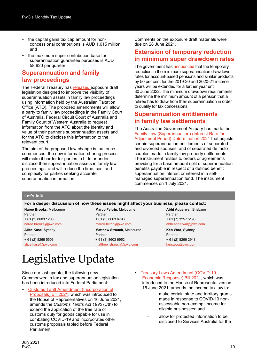- the capital gains tax cap amount for nonconcessional contributions is AUD 1.615 million, and
- the maximum super contribution base for superannuation guarantee purposes is AUD 58,920 per quarter.

#### **Superannuation and family law proceedings**

The Federal Treasury has [released e](https://treasury.gov.au/consultation/c2021-177055)xposure draft legislation designed to improve the visibility of superannuation assets in family law proceedings using information held by the Australian Taxation Office (ATO). The proposed amendments will allow a party to family law proceedings in the Family Court of Australia, Federal Circuit Court of Australia and Family Court of Western Australia to request information from the ATO about the identity and value of their partner's superannuation assets and for the ATO to disclose this information to the relevant court.

The aim of the proposed law change is that once commenced, the new information-sharing process will make it harder for parties to hide or underdisclose their superannuation assets in family law proceedings, and will reduce the time, cost and complexity for parties seeking accurate superannuation information.

Comments on the exposure draft materials were due on 28 June 2021.

#### **Extension of temporary reduction in minimum super drawdown rates**

The government has [announced t](https://ministers.treasury.gov.au/ministers/josh-frydenberg-2018/media-releases/supporting-retirees-extension-temporary-reduction)hat the temporary reduction in the minimum superannuation drawdown rates for account-based pensions and similar products by 50 per cent for the 2019-20 and 2020-21 income years will be extended for a further year until 30 June 2022. The minimum drawdown requirements determine the minimum amount of a pension that a retiree has to draw from their superannuation in order to qualify for tax concessions.

#### **Superannuation entitlements in family law settlements**

The Australian Government Actuary has made the **Family Law (Superannuation) (Interest Rate for** [Adjustment Period\) Determination 2021](https://www.legislation.gov.au/Details/F2021L00777) that adjusts certain superannuation entitlements of separated and divorced spouses, and of separated de facto couples made in family law property settlements. The instrument relates to orders or agreements providing for a base amount split of superannuation benefits payable in respect of a defined benefit superannuation interest or interest in a selfmanaged superannuation fund. The instrument commences on 1 July 2021.

#### **Let's talk**

**For a deeper discussion of how these issues might affect your business, please contact:**

**Naree Brooks**, Melbourne Partner + 61 (3) 8603 1200 [naree.brooks@pwc.com](mailto:naree.brooks@pwc.com)

**Alice Kase**, Sydney Partner + 61 (2) 8266 5506 [alice.kase@pwc.com](mailto:alice.kase@pwc.com) **Marco Feltrin**, Melbourne Partner + 61 (3) 8603 6796

[marco.feltrin@pwc.com](mailto:marco.feltrin@pwc.com) **Matthew Strauch**, Melbourne

Partner + 61 (3) 8603 6952 [matthew.strauch@pwc.com](mailto:matthew.strauch@pwc.com) **Abhi Aggarwal**, Brisbane Partner + 61 (7) 3257 5193 [abhi.aggarwal@pwc.com](mailto:abhi.aggarwal@pwc.com) **Ken Woo**, Sydney Partner + 61 (2) 8266 2948 [ken.woo@pwc.com](mailto:ken.woo@pwc.com)

## Legislative Update

Since our last update, the following new Commonwealth tax and superannuation legislation has been introduced into Federal Parliament:

- [Customs Tariff Amendment \(Incorporation of](https://parlinfo.aph.gov.au/parlInfo/search/display/display.w3p;query=Id%3A%22legislation%2Fbillhome%2Fr6727%22)  [Proposals\) Bill 2021,](https://parlinfo.aph.gov.au/parlInfo/search/display/display.w3p;query=Id%3A%22legislation%2Fbillhome%2Fr6727%22) which was introduced to the House of Representatives on 16 June 2021, amends the *Customs Tariffs Act 1995* (Cth) to extend the application of the free rate of customs duty for goods capable for use in combating COVID-19 and incorporates other customs proposals tabled before Federal Parliament.
- [Treasury Laws Amendment \(COVID-19](https://parlinfo.aph.gov.au/parlInfo/search/display/display.w3p;query=Id%3A%22legislation%2Fbillhome%2Fr6729%22)  [Economic Response\) Bill 2021,](https://parlinfo.aph.gov.au/parlInfo/search/display/display.w3p;query=Id%3A%22legislation%2Fbillhome%2Fr6729%22) which was introduced to the House of Representatives on 16 June 2021, amends the income tax law to:
	- make certain state and territory grants made in response to COVID-19 nonassessable non-exempt income for eligible businesses; and
	- allow for protected information to be disclosed to Services Australia for the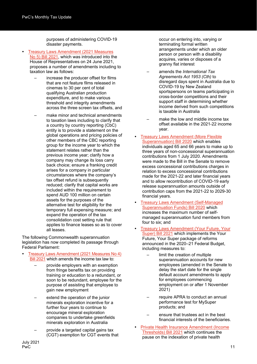purposes of administering COVID-19 disaster payments.

- [Treasury Laws Amendment \(2021 Measures](https://parlinfo.aph.gov.au/parlInfo/search/display/display.w3p;query=Id%3A%22legislation%2Fbillhome%2Fr6742%22)  No [5\) Bill 2021,](https://parlinfo.aph.gov.au/parlInfo/search/display/display.w3p;query=Id%3A%22legislation%2Fbillhome%2Fr6742%22) which was introduced into the House of Representatives on 24 June 2021, proposes a number of amendments including to taxation law as follows:
	- increase the producer offset for films that are not feature films released in cinemas to 30 per cent of total qualifying Australian production expenditure, and to make various threshold and integrity amendments across the three screen tax offsets, and
	- make minor and technical amendments to taxation laws including to clarify that a country by country reporting (CbC) entity is to provide a statement on the global operations and pricing policies of other members of the CBC reporting group for the income year to which the statement relates rather than the previous income year; clarify how a company may change its loss carry back choice; ensure a franking credit arises for a company in particular circumstances where the company's tax offset refund is subsequently reduced; clarify that capital works are included within the requirement to spend AUD 100 million on certain assets for the purposes of the alternative test for eligibility for the temporary full expensing measure; and expand the operation of the tax consolidation cost setting rule that applies to finance leases so as to cover all leases.

The following Commonwealth superannuation legislation has now completed its passage through Federal Parliament:

- [Treasury Laws Amendment \(2021 Measures No](https://parlinfo.aph.gov.au/parlInfo/search/display/display.w3p;query=Id%3A%22legislation%2Fbillhome%2Fr6720%22) 4) [Bill 2021](https://parlinfo.aph.gov.au/parlInfo/search/display/display.w3p;query=Id%3A%22legislation%2Fbillhome%2Fr6720%22) which amends the income tax law to:
	- provide employers with an exemption from fringe benefits tax on providing training or education to a redundant, or soon to be redundant, employee for the purpose of assisting that employee to gain new employment
	- extend the operation of the junior minerals exploration incentive for a further four years to continue to encourage mineral exploration companies to undertake greenfields minerals exploration in Australia
	- provide a targeted capital gains tax (CGT) exemption for CGT events that

occur on entering into, varying or terminating formal written arrangements under which an older person or person with a disability acquires, varies or disposes of a granny flat interest

- amends the *International Tax Agreements Act 1953 (Cth)* to disregard days spent in Australia due to COVID-19 by New Zealand sportspersons on teams participating in cross-border competitions and their support staff in determining whether income derived from such competitions is taxable in Australia
- make the low and middle income tax offset available in the 2021-22 income year.
- [Treasury Laws Amendment \(More Flexible](https://parlinfo.aph.gov.au/parlInfo/search/display/display.w3p;query=Id%3A%22legislation%2Fbillhome%2Fr6538%22)  [Superannuation\) Bill 2020](https://parlinfo.aph.gov.au/parlInfo/search/display/display.w3p;query=Id%3A%22legislation%2Fbillhome%2Fr6538%22) which enables individuals aged 65 and 66 years to make up to three years of non-concessional superannuation contributions from 1 July 2020. Amendments were made to the Bill in the Senate to remove excess concessional contributions charges in relation to excess concessional contributions made for the 2021-22 and later financial years and to allow recontribution of COVID-19 early release superannuation amounts outside of contribution caps from the 2021-22 to 2029-30 financial years.
- [Treasury Laws Amendment \(Self-Managed](https://parlinfo.aph.gov.au/parlInfo/search/display/display.w3p;query=Id%3A%22legislation%2Fbillhome%2Fs1269%22) [Superannuation Funds\) Bill 2020](https://parlinfo.aph.gov.au/parlInfo/search/display/display.w3p;query=Id%3A%22legislation%2Fbillhome%2Fs1269%22) which increases the maximum number of selfmanaged superannuation fund members from four to six; and
- [Treasury Laws Amendment \(Your Future, Your](https://parlinfo.aph.gov.au/parlInfo/search/display/display.w3p;query=Id%3A%22legislation%2Fbillhome%2Fr6672%22)  [Super\) Bill 2021](https://parlinfo.aph.gov.au/parlInfo/search/display/display.w3p;query=Id%3A%22legislation%2Fbillhome%2Fr6672%22) which implements the Your Future, Your Super package of reforms announced in the 2020–21 Federal Budget, including measures to:
	- limit the creation of multiple superannuation accounts for new employees (amended in the Senate to delay the start date for the single default account amendments to apply for employees commencing employment on or after 1 November 2021)
	- require APRA to conduct an annual performance test for MySuper products; and
	- ensure that trustees act in the best financial interests of the beneficiaries.
- [Private Health Insurance Amendment \(Income](https://parlinfo.aph.gov.au/parlInfo/search/display/display.w3p;query=Id%3A%22legislation%2Fbillhome%2Fr6705%22)  [Thresholds\) Bill 2021](https://parlinfo.aph.gov.au/parlInfo/search/display/display.w3p;query=Id%3A%22legislation%2Fbillhome%2Fr6705%22) which continues the pause on the indexation of private health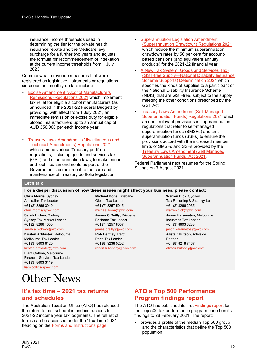insurance income thresholds used in determining the tier for the private health insurance rebate and the Medicare levy surcharge for a further two years and adjusts the formula for recommencement of indexation at the current income thresholds from 1 July 2023.

Commonwealth revenue measures that were registered as legislative instruments or regulations since our last monthly update include:

- [Excise Amendment \(Alcohol Manufacturers](https://www.legislation.gov.au/Details/F2021L00745)  [Remissions\) Regulations 2021](https://www.legislation.gov.au/Details/F2021L00745) which implement tax relief for eligible alcohol manufacturers (as announced in the 2021-22 Federal Budget) by providing, with effect from 1 July 2021, an immediate remission of excise duty for eligible alcohol manufacturers up to an annual cap of AUD 350,000 per each income year.
- [Treasury Laws Amendment \(Miscellaneous and](https://www.legislation.gov.au/Details/F2021L00848)  [Technical Amendments\) Regulations 2021](https://www.legislation.gov.au/Details/F2021L00848) which amend various Treasury portfolio regulations, including goods and services tax (GST) and superannuation laws, to make minor and technical amendments as part of the Government's commitment to the care and maintenance of Treasury portfolio legislation.
- [Superannuation Legislation Amendment](https://www.legislation.gov.au/Details/F2021L00833)  [\(Superannuation Drawdown\) Regulations 2021](https://www.legislation.gov.au/Details/F2021L00833) which reduce the minimum superannuation drawdown rates by 50 per cent for accountbased pensions (and equivalent annuity products) for the 2021-22 financial year.
- [A New Tax System \(Goods and Services Tax\)](https://www.legislation.gov.au/Details/F2021L00846)  (GST‑[free Supply—National Disability Insurance](https://www.legislation.gov.au/Details/F2021L00846)  [Scheme Supports\) Determination 2021](https://www.legislation.gov.au/Details/F2021L00846) which specifies the kinds of supplies to a participant of the National Disability Insurance Scheme (NDIS) that are GST-free, subject to the supply meeting the other conditions prescribed by the GST Act.
- [Treasury Laws Amendment \(Self-Managed](https://www.legislation.gov.au/Details/F2021L00853) [Superannuation Funds\) Regulations 2021](https://www.legislation.gov.au/Details/F2021L00853) which amends relevant provisions in superannuation regulations that refer to self-managed superannuation funds (SMSFs) and small superannuation funds (SSFs) to ensure the provisions accord with the increased member limits of SMSFs and SSFs provided by the [Treasury Laws Amendment \(Self](https://parlinfo.aph.gov.au/parlInfo/search/display/display.w3p;query=Id%3A%22legislation%2Fbillhome%2Fs1269%22) Managed [Superannuation Funds\) Act 2021.](https://parlinfo.aph.gov.au/parlInfo/search/display/display.w3p;query=Id%3A%22legislation%2Fbillhome%2Fs1269%22)

Federal Parliament next resumes for the Spring Sittings on 3 August 2021.

#### **Let's talk**

**For a deeper discussion of how these issues might affect your business, please contact:**

**Chris Morris**, Sydney Australian Tax Leader +61 (2) 8266 3040 [chris.morris@pwc.com](mailto:chris.morris@pwc.com)

**Sarah Hickey**, Sydney Sydney Tax Market Leader +61 (2) 8266 1050

[sarah.a.hickey@pwc.com](mailto:sarah.a.hickey@pwc.com) **Kirsten Arblaster**, Melbourne Melbourne Tax Leader

#### +61 (3) 8603 6120

[kirsten.arblaster@pwc.com](mailto:kirsten.arblaster@pwc.com) **Liam Collins**, Melbourne Financial Services Tax Leader +61 (3) 8603 3119 [liam.collins@pwc.com](mailto:liam.collins@pwc.com)

**Michael Bona**, Brisbane Global Tax Leader +61 (7) 3257 5015 [michael.bona@pwc.com](mailto:michael.bona@pwc.com) **James O'Reilly**, Brisbane

Brisbane Tax Leader +61 (7) 3257 8057

#### [james.oreilly@pwc.com](mailto:james.oreilly@pwc.com)

**Rob Bentley**, Perth Perth Tax Leader +61 (8) 9238 5202 [robert.k.bentley@pwc.com](mailto:robert.k.bentley@pwc.com) **Warren Dick**, Sydney Tax Reporting & Strategy Leader +61 (2) 8266 2935 [warren.dick@pwc.com](mailto:warren.dick@pwc.com)

**Jason Karametos**, Melbourne Industries Tax Leader +61 (3) 8603 6233

#### [jason.karametos@pwc.com](mailto:jason.karametos@pwc.com)

**Alistair Hutson**, Adelaide Partner +61 (8) 8218 7467 [alistair.hutson@pwc.com](mailto:alistair.hutson@pwc.com)

## Other News

#### **It's tax time – 2021 tax returns and schedules**

The Australian Taxation Office (ATO) has released the return forms, schedules and instructions for 2021-22 income year tax lodgments. The full list of forms can be accessed under the 'Tax Time 2021' heading on the [Forms and Instructions page.](https://www.ato.gov.au/Forms/?sorttype=SortByTopic)

### **ATO's Top 500 Performance Program findings report**

The ATO has published its first [Findings report](https://www.ato.gov.au/Business/Privately-owned-and-wealthy-groups/What-you-should-know/Tax-performance-programs-for-private-groups/Top-500-private-groups-tax-performance-program/Findings-report-Top-500-tax-performance-program/) for the Top 500 tax performance program based on its findings to 28 February 2021. The report:

 provides a profile of the median Top 500 group and the characteristics that define the Top 500 population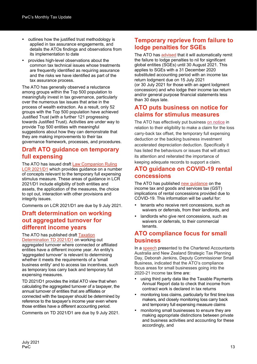- outlines how the justified trust methodology is applied in tax assurance engagements, and details the ATOs findings and observations from its implementation to date
- provides high-level observations about the common tax technical issues whose treatments are frequently identified as requiring assurance and the risks we have identified as part of the tax assurance process.

The ATO has generally observed a reluctance among groups within the Top 500 population to meaningfully invest in tax governance, particularly over the numerous tax issues that arise in the process of wealth extraction. As a result, only 52 groups with the Top 500 population have achieved Justified Trust (with a further 121 progressing towards Justified Trust). Activities are under way to provide Top 500 entities with meaningful suggestions about how they can demonstrate that they are making improvements to their tax governance framework, processes, and procedures.

#### **Draft ATO guidance on temporary full expensing**

The ATO has issued draft [Law Companion Ruling](https://www.ato.gov.au/law/view/document?DocID=COD/LCR2021D1/NAT/ATO/00001)  [LCR 2021/D1](https://www.ato.gov.au/law/view/document?DocID=COD/LCR2021D1/NAT/ATO/00001) which provides guidance on a number of concepts relevant to the temporary full expensing stimulus measure. These areas of guidance in LCR 2021/D1 include eligibility of both entities and assets, the application of the measures, the choice to opt out, interaction with other provisions and integrity issues.

Comments on LCR 2021/D1 are due by 9 July 2021.

## **Draft determination on working out aggregated turnover for different income years**

The ATO has published draft [Taxation](https://www.ato.gov.au/law/view/view.htm?docid=%22dxt%2Ftd2021d1%2Fnat%2Fato%2F00001%22) 

[Determination TD 2021/D1](https://www.ato.gov.au/law/view/view.htm?docid=%22dxt%2Ftd2021d1%2Fnat%2Fato%2F00001%22) on working out aggregated turnover where connected or affiliated entities have a different income year. An entity's 'aggregated turnover' is relevant to determining whether it meets the requirements of a 'small business entity' and to access tax incentives, such as temporary loss carry back and temporary full expensing measures.

TD 2021/D1 provides the initial ATO view that when calculating the aggregated turnover of a taxpayer, the annual turnover of entities that are affiliates or connected with the taxpayer should be determined by reference to the taxpayer's income year even where those entities have a different accounting period.

Comments on TD 2021/D1 are due by 9 July 2021.

## **Temporary reprieve from failure to lodge penalties for SGEs**

The ATO has [advised](https://www.ato.gov.au/Business/Business-bulletins-newsroom/General/Continued-support-for-SGEs/) that it will automatically remit the failure to lodge penalties to nil for significant global entities (SGEs) until 30 August 2021. This applies to SGEs with a 31 December 2020 substituted accounting period with an income tax return lodgment due on 15 July 2021 (or 30 July 2021 for those with an agent lodgment concession) and who lodge their income tax return and/or general purpose financial statements less than 30 days late.

### **ATO puts business on notice for claims for stimulus measures**

The ATO has effectively put business [on notice](https://www.ato.gov.au/General/Tax-planning/In-detail/Economic-stimulus-measures---compliance-and-integrity/) in relation to their eligibility to make a claim for the loss carry-back tax offset, the temporary full expensing deduction or the backing business investment accelerated depreciation deduction. Specifically it has listed the behaviours or issues that will attract its attention and reiterated the importance of keeping adequate records to support a claim.

## **ATO guidance on COVID-19 rental concessions**

The ATO has published [new guidance](https://www.ato.gov.au/General/Property/Property-used-in-running-a-business/Rent-or-lease-payment-changes-due-to-COVID-19/) on the income tax and goods and services tax (GST) implications of rental concessions provided due to COVID-19. This information will be useful for:

- tenants who receive rent concessions, such as waivers or deferrals, from their landlords, and
- landlords who give rent concessions, such as waivers or deferrals, to their commercial tenants.

## **ATO compliance focus for small business**

In a [speech](https://www.ato.gov.au/Media-centre/Speeches/Other/How-the-ATO-is-addressing-risks-in-the-small-business-market/) presented to the Chartered Accountants Australia and New Zealand Strategic Tax Planning Day, Deborah Jenkins, Deputy Commissioner Small Business, indicated that the ATO's compliance focus areas for small businesses going into the 2020-21 income tax time are:

- using third party data like the Taxable Payments Annual Report data to check that income from contract work is declared in tax returns
- monitoring loss claims, particularly for first time loss makers, and closely monitoring loss carry back and temporary full expensing measure claims
- monitoring small businesses to ensure they are making appropriate distinctions between private and business activities and accounting for these accordingly, and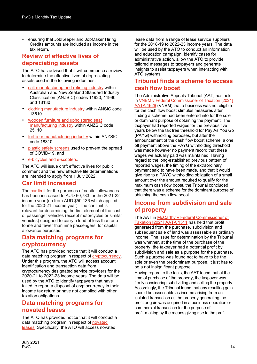ensuring that JobKeeper and JobMaker Hiring Credits amounts are included as income in the tax return.

#### **Review of effective lives of depreciating assets**

The ATO has advised that it will commence a review to determine the effective lives of depreciating assets used in the following industries:

- [salt manufacturing and refining industry](https://www.ato.gov.au/Business/Depreciation-and-capital-expenses-and-allowances/In-detail/Effective-life/Reviews-in-progress/Capital-allowances--review-of-assets-used-for-salt-manufacturing-and-refining-(excluding-harvesting)/) within Australian and New Zealand Standard Industry Classification (ANZSIC) codes 11920, 11990 and 18130
- [clothing manufacture industry](https://www.ato.gov.au/Business/Depreciation-and-capital-expenses-and-allowances/In-detail/Effective-life/Reviews-in-progress/Capital-allowances--review-of-assets-used-in-the-clothing-manufacturing-industry/) within ANSIC code 13510
- [wooden furniture and upholstered seat](https://www.ato.gov.au/Business/Depreciation-and-capital-expenses-and-allowances/In-detail/Effective-life/Reviews-in-progress/Capital-allowances--review-of-assets-used-in-wooden-furniture-and-upholstered-seat-manufacturing/)  [manufacturing industry](https://www.ato.gov.au/Business/Depreciation-and-capital-expenses-and-allowances/In-detail/Effective-life/Reviews-in-progress/Capital-allowances--review-of-assets-used-in-wooden-furniture-and-upholstered-seat-manufacturing/) within ANZSIC code 25110
- [fertiliser manufacturing industry](https://www.ato.gov.au/Business/Depreciation-and-capital-expenses-and-allowances/In-detail/Effective-life/Reviews-in-progress/Capital-allowances--review-of-assets-used-in-the-fertiliser-manufacturing-industry/) within ANZSIC code 18310
- [plastic safety screens](https://www.ato.gov.au/Business/Depreciation-and-capital-expenses-and-allowances/In-detail/Effective-life/Reviews-in-progress/Capital-allowances--review-of-plastic-safety-screens/) used to prevent the spread of COVID-19, and
- [e-bicycles and](https://www.ato.gov.au/Business/Depreciation-and-capital-expenses-and-allowances/In-detail/Effective-life/Reviews-in-progress/Capital-allowances--review-of-e-bicycles-and-e-scooters/) e-scooters.

The ATO will issue draft effective lives for public comment and the new effective life determinations are intended to apply from 1 July 2022.

### **Car limit increased**

The [car limit](https://www.ato.gov.au/Business/Depreciation-and-capital-expenses-and-allowances/Simpler-depreciation-for-small-business/Assets-and-exclusions/#Cars) for the purposes of capital allowances has been increased to AUD 60,733 for the 2021-22 income year (up from AUD \$59,136 which applied for the 2020-21 income year). The car limit is relevant for determining the first element of the cost of passenger vehicles (except motorcycles or similar vehicles) designed to carry a load of less than one tonne and fewer than nine passengers, for capital allowance purposes.

#### **Data matching programs for cryptocurrency**

The ATO has provided notice that it will conduct a data matching program in respect of [cryptocurrency.](https://www.legislation.gov.au/Details/C2021G00416) Under this program, the ATO will access account identification and transaction data from cryptocurrency designated service providers for the 2020-21 to 2022-23 income years. The data will be used by the ATO to identify taxpayers that have failed to report a disposal of cryptocurrency in their income tax return or have not complied with other taxation obligations.

#### **Data matching programs for novated leases**

The ATO has provided notice that it will conduct a data matching program in respect of [novated](https://www.legislation.gov.au/Details/C2021G00417)  [leases.](https://www.legislation.gov.au/Details/C2021G00417) Specifically, the ATO will access novated

lease data from a range of lease service suppliers for the 2018-19 to 2022-23 income years. The data will be used by the ATO to conduct an information and education campaign, identify cases for administrative action, allow the ATO to provide tailored messages to taxpayers and generate insights to assist taxpayers when interacting with ATO systems.

#### **Tribunal finds a scheme to access cash flow boost**

The Administrative Appeals Tribunal (AAT) has held in [VNBM v Federal Commissioner of Taxation \[2021\]](http://www.austlii.edu.au/cgi-bin/viewdoc/au/cases/cth/AATA/2021/1626.html)  [AATA 1626](http://www.austlii.edu.au/cgi-bin/viewdoc/au/cases/cth/AATA/2021/1626.html) (VNBM) that a business was not eligible for the cash flow boost stimulus measures after finding a scheme had been entered into for the sole or dominant purpose of obtaining the payment. The taxpayer had reported wages for the previous five years below the tax free threshold for Pay As You Go (PAYG) withholding purposes, but after the announcement of the cash flow boost scheme, a one off payment above the PAYG withholding threshold was made however no payment record that these wages we actually paid was maintained. Having regard to the long-established previous pattern of reported wages, the timing of the extraordinary payment said to have been made, and that it would give rise to a PAYG withholding obligation of a small amount over the amount required to qualify for the maximum cash flow boost, the Tribunal concluded that there was a scheme for the dominant purpose of obtaining the cash flow boost.

### **Income from subdivision and sale of property**

The AAT in [McCarthy v Federal Commissioner of](http://www6.austlii.edu.au/cgi-bin/viewdoc/au/cases/cth/AATA/2021/1511.html?query=)  [Taxation \[2021\] AATA 1511](http://www6.austlii.edu.au/cgi-bin/viewdoc/au/cases/cth/AATA/2021/1511.html?query=) has held that profit generated from the purchase, subdivision and subsequent sale of land was assessable as ordinary income. The issue for determination by the Tribunal was whether, at the time of the purchase of the property, the taxpayer had a potential profit by subdivision and sale as a purpose for the purchase. Such a purpose was found not to have to be the sole or even the predominant purpose, it just has to be a not insignificant purpose.

Having regard to the facts, the AAT found that at the time of purchase of the property, the taxpayer was firmly considering subdividing and selling the property. Accordingly, the Tribunal found that any resulting gain should be assessable as income arising from an isolated transaction as the property generating the profit or gain was acquired in a business operation or commercial transaction for the purpose of profit‑making by the means giving rise to the profit.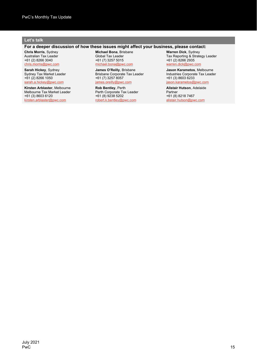#### **Let's talk**

#### **For a deeper discussion of how these issues might affect your business, please contact:**

**Chris Morris**, Sydney Australian Tax Leader +61 (2) 8266 3040 [chris.morris@pwc.com](mailto:chris.morris@pwc.com)

**Sarah Hickey**, Sydney Sydney Tax Market Leader +61 (2) 8266 1050 [sarah.a.hickey@pwc.com](mailto:sarah.a.hickey@pwc.com)

**Kirsten Arblaster**, Melbourne Melbourne Tax Market Leader +61 (3) 8603 6120 [kirsten.arblaster@pwc.com](mailto:kirsten.arblaster@pwc.com)

**Michael Bona**, Brisbane Global Tax Leader +61 (7) 3257 5015 [michael.bona@pwc.com](mailto:michael.bona@pwc.com)

**James O'Reilly**, Brisbane Brisbane Corporate Tax Leader +61 (7) 3257 8057<br>james.oreilly@pwc .oreilly@pwc.com

**Rob Bentley**, Perth Perth Corporate Tax Leader +61 (8) 9238 5202 [robert.k.bentley@pwc.com](mailto:robert.k.bentley@pwc.com)

**Warren Dick**, Sydney Tax Reporting & Strategy Leader +61 (2) 8266 2935 [warren.dick@pwc.com](mailto:warren.dick@pwc.com)

**Jason Karametos**, Melbourne Industries Corporate Tax Leader +61 (3) 8603 6233 [jason.karametos@pwc.com](mailto:jason.karametos@pwc.com)

**Alistair Hutson**, Adelaide Partner +61 (8) 8218 7467 [alistair.hutson@pwc.com](mailto:alistair.hutson@pwc.com)